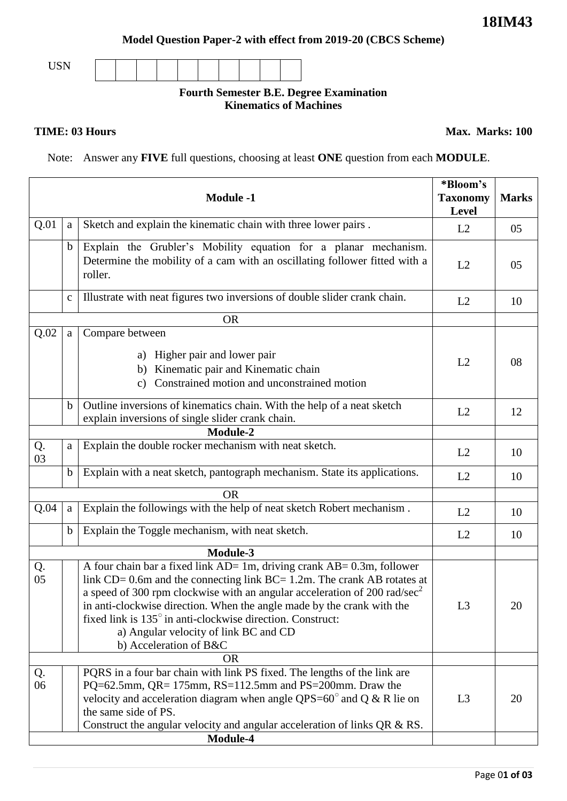## **Model Question Paper-2 with effect from 2019-20 (CBCS Scheme)**

USN

## **Fourth Semester B.E. Degree Examination Kinematics of Machines**

**TIME: 03 Hours** Max. Marks: 100

Note: Answer any **FIVE** full questions, choosing at least **ONE** question from each **MODULE**.

| <b>Module -1</b><br><b>Taxonomy</b> |              |                                                                                                                                                                                                                                                                                                                                                                                                                                                                     |                | <b>Marks</b> |
|-------------------------------------|--------------|---------------------------------------------------------------------------------------------------------------------------------------------------------------------------------------------------------------------------------------------------------------------------------------------------------------------------------------------------------------------------------------------------------------------------------------------------------------------|----------------|--------------|
| Q.01                                | a            | Sketch and explain the kinematic chain with three lower pairs.                                                                                                                                                                                                                                                                                                                                                                                                      | L2             | 05           |
|                                     | $\mathbf b$  | Explain the Grubler's Mobility equation for a planar mechanism.<br>Determine the mobility of a cam with an oscillating follower fitted with a<br>roller.                                                                                                                                                                                                                                                                                                            | L2             | 05           |
|                                     | $\mathbf C$  | Illustrate with neat figures two inversions of double slider crank chain.                                                                                                                                                                                                                                                                                                                                                                                           | L2             | 10           |
|                                     |              | <b>OR</b>                                                                                                                                                                                                                                                                                                                                                                                                                                                           |                |              |
| Q.02                                | $\mathbf{a}$ | Compare between                                                                                                                                                                                                                                                                                                                                                                                                                                                     |                |              |
|                                     |              | a) Higher pair and lower pair<br>Kinematic pair and Kinematic chain<br>b)<br>Constrained motion and unconstrained motion<br>c)                                                                                                                                                                                                                                                                                                                                      | L2             | 08           |
|                                     | $\mathbf b$  | Outline inversions of kinematics chain. With the help of a neat sketch<br>explain inversions of single slider crank chain.                                                                                                                                                                                                                                                                                                                                          | L2             | 12           |
|                                     |              |                                                                                                                                                                                                                                                                                                                                                                                                                                                                     |                |              |
| Q.<br>03                            | a            | Explain the double rocker mechanism with neat sketch.                                                                                                                                                                                                                                                                                                                                                                                                               | L2             | 10           |
|                                     | $\mathbf b$  | Explain with a neat sketch, pantograph mechanism. State its applications.                                                                                                                                                                                                                                                                                                                                                                                           | L2             | 10           |
|                                     |              | <b>OR</b>                                                                                                                                                                                                                                                                                                                                                                                                                                                           |                |              |
| Q.04                                | $\rm{a}$     | Explain the followings with the help of neat sketch Robert mechanism.                                                                                                                                                                                                                                                                                                                                                                                               | L2             | 10           |
|                                     | b            | Explain the Toggle mechanism, with neat sketch.                                                                                                                                                                                                                                                                                                                                                                                                                     | L2             | 10           |
| Module-3                            |              |                                                                                                                                                                                                                                                                                                                                                                                                                                                                     |                |              |
| Q.<br>05                            |              | A four chain bar a fixed link $AD = 1m$ , driving crank $AB = 0.3m$ , follower<br>link $CD = 0.6$ m and the connecting link $BC = 1.2$ m. The crank AB rotates at<br>a speed of 300 rpm clockwise with an angular acceleration of 200 $\text{rad/sec}^2$<br>in anti-clockwise direction. When the angle made by the crank with the<br>fixed link is 135° in anti-clockwise direction. Construct:<br>a) Angular velocity of link BC and CD<br>b) Acceleration of B&C | L <sub>3</sub> | 20           |
|                                     |              | 0R                                                                                                                                                                                                                                                                                                                                                                                                                                                                  |                |              |
| Q.<br>06                            |              | PQRS in a four bar chain with link PS fixed. The lengths of the link are<br>PQ=62.5mm, $QR = 175$ mm, $RS = 112.5$ mm and $PS = 200$ mm. Draw the<br>velocity and acceleration diagram when angle QPS= $60^{\circ}$ and Q & R lie on<br>the same side of PS.<br>Construct the angular velocity and angular acceleration of links QR & RS.                                                                                                                           | L <sub>3</sub> | 20           |
|                                     |              | Module-4                                                                                                                                                                                                                                                                                                                                                                                                                                                            |                |              |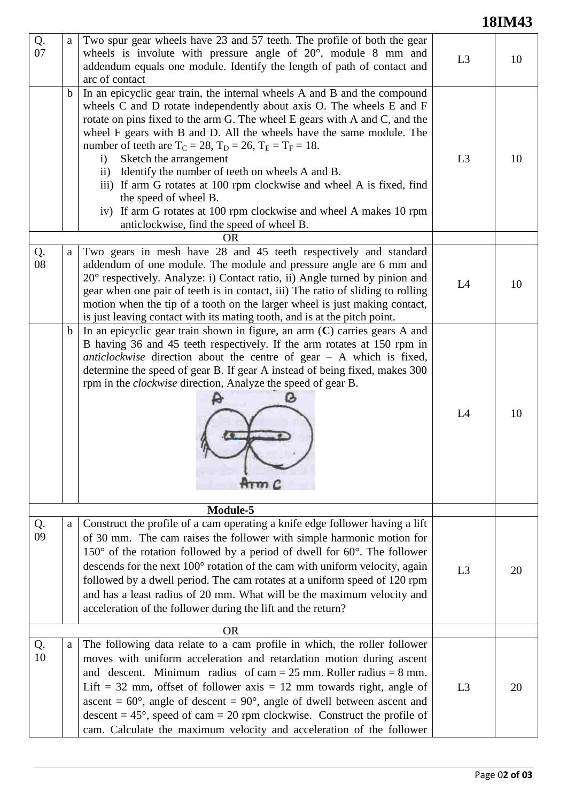## **18IM43**

| Q.<br>07 | a           | Two spur gear wheels have 23 and 57 teeth. The profile of both the gear<br>wheels is involute with pressure angle of $20^{\circ}$ , module 8 mm and<br>addendum equals one module. Identify the length of path of contact and<br>arc of contact                                                                                                                                                                                                                                                                                                                                                                                                                                                               | L3             | 10 |  |  |
|----------|-------------|---------------------------------------------------------------------------------------------------------------------------------------------------------------------------------------------------------------------------------------------------------------------------------------------------------------------------------------------------------------------------------------------------------------------------------------------------------------------------------------------------------------------------------------------------------------------------------------------------------------------------------------------------------------------------------------------------------------|----------------|----|--|--|
|          | $\mathbf b$ | In an epicyclic gear train, the internal wheels A and B and the compound<br>wheels C and D rotate independently about axis O. The wheels E and F<br>rotate on pins fixed to the arm G. The wheel E gears with A and C, and the<br>wheel F gears with B and D. All the wheels have the same module. The<br>number of teeth are $T_C = 28$ , $T_D = 26$ , $T_E = T_F = 18$ .<br>Sketch the arrangement<br>$\mathbf{i}$<br>ii) Identify the number of teeth on wheels A and B.<br>iii) If arm G rotates at 100 rpm clockwise and wheel A is fixed, find<br>the speed of wheel B.<br>iv) If arm G rotates at 100 rpm clockwise and wheel A makes 10 rpm<br>anticlockwise, find the speed of wheel B.<br><b>OR</b> | L3             | 10 |  |  |
|          |             |                                                                                                                                                                                                                                                                                                                                                                                                                                                                                                                                                                                                                                                                                                               |                |    |  |  |
| Q.<br>08 | a           | Two gears in mesh have 28 and 45 teeth respectively and standard<br>addendum of one module. The module and pressure angle are 6 mm and<br>20° respectively. Analyze: i) Contact ratio, ii) Angle turned by pinion and<br>gear when one pair of teeth is in contact, iii) The ratio of sliding to rolling<br>motion when the tip of a tooth on the larger wheel is just making contact,<br>is just leaving contact with its mating tooth, and is at the pitch point.                                                                                                                                                                                                                                           | L4             | 10 |  |  |
|          | $\mathbf b$ | In an epicyclic gear train shown in figure, an arm $(C)$ carries gears A and<br>B having 36 and 45 teeth respectively. If the arm rotates at 150 rpm in<br>anticlockwise direction about the centre of $gen - A$ which is fixed,<br>determine the speed of gear B. If gear A instead of being fixed, makes 300<br>rpm in the <i>clockwise</i> direction, Analyze the speed of gear B.<br>Arm <sub>c</sub>                                                                                                                                                                                                                                                                                                     | L4             | 10 |  |  |
| Module-5 |             |                                                                                                                                                                                                                                                                                                                                                                                                                                                                                                                                                                                                                                                                                                               |                |    |  |  |
| Q.<br>09 | a           | Construct the profile of a cam operating a knife edge follower having a lift<br>of 30 mm. The cam raises the follower with simple harmonic motion for<br>$150^{\circ}$ of the rotation followed by a period of dwell for 60 $^{\circ}$ . The follower<br>descends for the next 100° rotation of the cam with uniform velocity, again<br>followed by a dwell period. The cam rotates at a uniform speed of 120 rpm<br>and has a least radius of 20 mm. What will be the maximum velocity and<br>acceleration of the follower during the lift and the return?                                                                                                                                                   | L <sub>3</sub> | 20 |  |  |
|          |             | <b>OR</b>                                                                                                                                                                                                                                                                                                                                                                                                                                                                                                                                                                                                                                                                                                     |                |    |  |  |
| Q.<br>10 | a           | The following data relate to a cam profile in which, the roller follower<br>moves with uniform acceleration and retardation motion during ascent<br>and descent. Minimum radius of cam = $25$ mm. Roller radius = $8$ mm.<br>Lift = 32 mm, offset of follower axis = 12 mm towards right, angle of<br>ascent = $60^{\circ}$ , angle of descent = $90^{\circ}$ , angle of dwell between ascent and<br>descent = $45^{\circ}$ , speed of cam = 20 rpm clockwise. Construct the profile of<br>cam. Calculate the maximum velocity and acceleration of the follower                                                                                                                                               | L <sub>3</sub> | 20 |  |  |